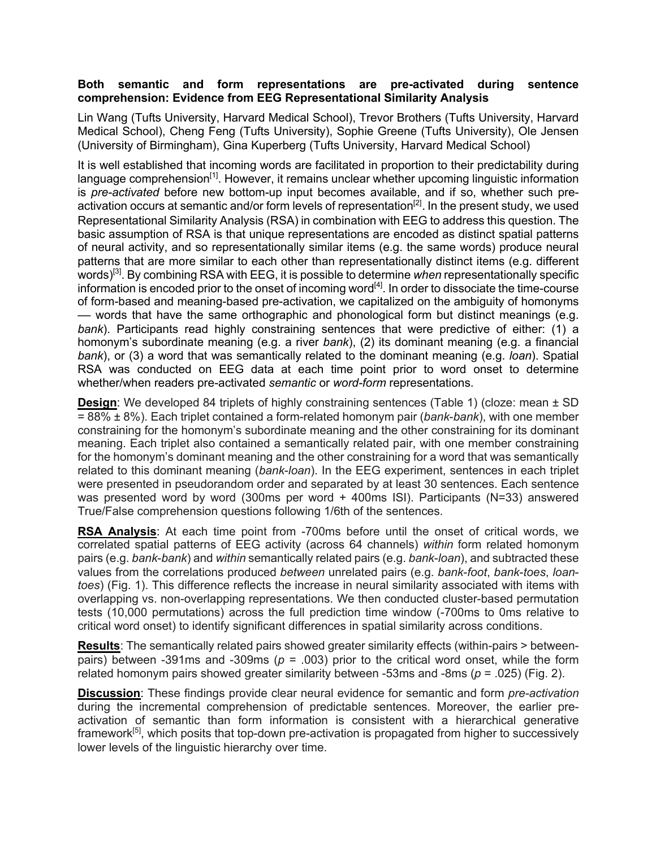## **Both semantic and form representations are pre-activated during sentence comprehension: Evidence from EEG Representational Similarity Analysis**

Lin Wang (Tufts University, Harvard Medical School), Trevor Brothers (Tufts University, Harvard Medical School), Cheng Feng (Tufts University), Sophie Greene (Tufts University), Ole Jensen (University of Birmingham), Gina Kuperberg (Tufts University, Harvard Medical School)

It is well established that incoming words are facilitated in proportion to their predictability during language comprehension<sup>[1]</sup>. However, it remains unclear whether upcoming linguistic information is *pre-activated* before new bottom-up input becomes available, and if so, whether such preactivation occurs at semantic and/or form levels of representation<sup>[2]</sup>. In the present study, we used Representational Similarity Analysis (RSA) in combination with EEG to address this question. The basic assumption of RSA is that unique representations are encoded as distinct spatial patterns of neural activity, and so representationally similar items (e.g. the same words) produce neural patterns that are more similar to each other than representationally distinct items (e.g. different words)[3]. By combining RSA with EEG, it is possible to determine *when* representationally specific information is encoded prior to the onset of incoming word $^{[4]}$ . In order to dissociate the time-course of form-based and meaning-based pre-activation, we capitalized on the ambiguity of homonyms –– words that have the same orthographic and phonological form but distinct meanings (e.g. *bank*). Participants read highly constraining sentences that were predictive of either: (1) a homonym's subordinate meaning (e.g. a river *bank*), (2) its dominant meaning (e.g. a financial *bank*), or (3) a word that was semantically related to the dominant meaning (e.g. *loan*). Spatial RSA was conducted on EEG data at each time point prior to word onset to determine whether/when readers pre-activated *semantic* or *word-form* representations.

**Design:** We developed 84 triplets of highly constraining sentences (Table 1) (cloze: mean  $\pm$  SD = 88% ± 8%). Each triplet contained a form-related homonym pair (*bank*-*bank*), with one member constraining for the homonym's subordinate meaning and the other constraining for its dominant meaning. Each triplet also contained a semantically related pair, with one member constraining for the homonym's dominant meaning and the other constraining for a word that was semantically related to this dominant meaning (*bank*-*loan*). In the EEG experiment, sentences in each triplet were presented in pseudorandom order and separated by at least 30 sentences. Each sentence was presented word by word (300ms per word + 400ms ISI). Participants (N=33) answered True/False comprehension questions following 1/6th of the sentences.

**RSA Analysis**: At each time point from -700ms before until the onset of critical words, we correlated spatial patterns of EEG activity (across 64 channels) *within* form related homonym pairs (e.g. *bank*-*bank*) and *within* semantically related pairs (e.g. *bank*-*loan*), and subtracted these values from the correlations produced *between* unrelated pairs (e.g. *bank*-*foot*, *bank*-*toes*, *loantoes*) (Fig. 1). This difference reflects the increase in neural similarity associated with items with overlapping vs. non-overlapping representations. We then conducted cluster-based permutation tests (10,000 permutations) across the full prediction time window (-700ms to 0ms relative to critical word onset) to identify significant differences in spatial similarity across conditions.

**Results**: The semantically related pairs showed greater similarity effects (within-pairs > betweenpairs) between -391ms and -309ms (*p* = .003) prior to the critical word onset, while the form related homonym pairs showed greater similarity between -53ms and -8ms (*p* = .025) (Fig. 2).

**Discussion**: These findings provide clear neural evidence for semantic and form *pre-activation* during the incremental comprehension of predictable sentences. Moreover, the earlier preactivation of semantic than form information is consistent with a hierarchical generative framework<sup>[5]</sup>, which posits that top-down pre-activation is propagated from higher to successively lower levels of the linguistic hierarchy over time.